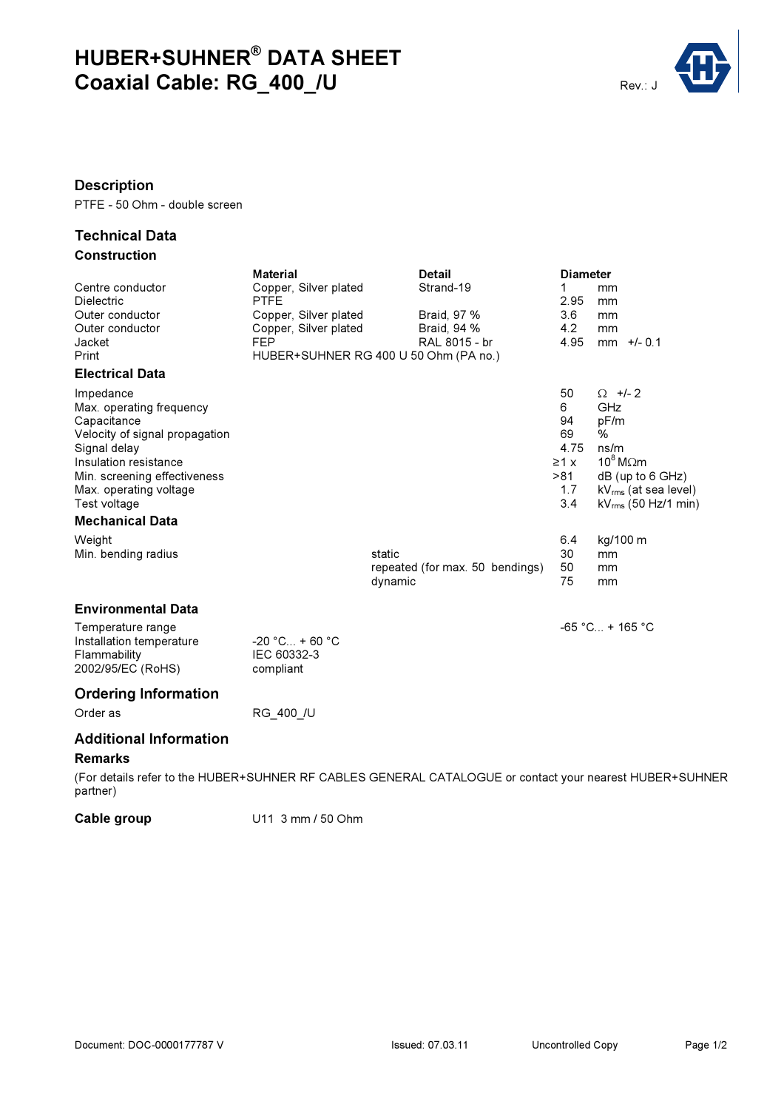# HUBER+SUHNER® DATA SHEET Rev.: J<br>Coaxial Cable: RG\_400\_/U



### Description

PTFE - 50 Ohm - double screen

#### Technical Data **Construction**

|                                | Material                              | <b>Detail</b>                                                                                           |                      | <b>Diameter</b>           |  |  |  |  |
|--------------------------------|---------------------------------------|---------------------------------------------------------------------------------------------------------|----------------------|---------------------------|--|--|--|--|
| Centre conductor               | Copper, Silver plated                 | Strand-19                                                                                               | 1                    | mm                        |  |  |  |  |
| Dielectric                     | <b>PTFE</b>                           |                                                                                                         | 2.95                 | mm                        |  |  |  |  |
| Outer conductor                | Copper, Silver plated                 | Braid, 97 %                                                                                             | 3.6                  | mm                        |  |  |  |  |
| Outer conductor                | Copper, Silver plated                 | Braid, 94 %                                                                                             | 4.2                  | mm                        |  |  |  |  |
| Jacket                         | <b>FEP</b>                            | RAL 8015 - br                                                                                           | 4.95                 | $mm$ +/- 0.1              |  |  |  |  |
| Print                          | HUBER+SUHNER RG 400 U 50 Ohm (PA no.) |                                                                                                         |                      |                           |  |  |  |  |
| <b>Electrical Data</b>         |                                       |                                                                                                         |                      |                           |  |  |  |  |
| Impedance                      |                                       |                                                                                                         | 50                   | $\Omega$ +/- 2            |  |  |  |  |
| Max. operating frequency       |                                       |                                                                                                         | 6                    | GHz                       |  |  |  |  |
| Capacitance                    |                                       |                                                                                                         | 94                   | pF/m                      |  |  |  |  |
| Velocity of signal propagation |                                       |                                                                                                         | 69                   | %                         |  |  |  |  |
| Signal delay                   |                                       |                                                                                                         | 4.75                 | ns/m                      |  |  |  |  |
| Insulation resistance          |                                       |                                                                                                         | $\geq 1$ x           | $10^8$ M $\Omega$ m       |  |  |  |  |
| Min. screening effectiveness   |                                       |                                                                                                         | >81                  | $dB$ (up to 6 GHz)        |  |  |  |  |
| Max. operating voltage         |                                       |                                                                                                         | 1.7                  | $kV_{rms}$ (at sea level) |  |  |  |  |
| Test voltage                   |                                       |                                                                                                         | 3.4                  | $kV_{rms}$ (50 Hz/1 min)  |  |  |  |  |
| <b>Mechanical Data</b>         |                                       |                                                                                                         |                      |                           |  |  |  |  |
| Weight                         |                                       |                                                                                                         | 6.4                  | kg/100 m                  |  |  |  |  |
| Min. bending radius            |                                       | static                                                                                                  | 30                   | mm                        |  |  |  |  |
|                                |                                       | repeated (for max. 50 bendings)                                                                         | 50                   | mm                        |  |  |  |  |
|                                |                                       | dynamic                                                                                                 | 75                   | mm                        |  |  |  |  |
| <b>Environmental Data</b>      |                                       |                                                                                                         |                      |                           |  |  |  |  |
| Temperature range              |                                       |                                                                                                         | $-65 °C_{} + 165 °C$ |                           |  |  |  |  |
| Installation temperature       | $-20 °C_{} + 60 °C$                   |                                                                                                         |                      |                           |  |  |  |  |
| Flammability                   | IEC 60332-3                           |                                                                                                         |                      |                           |  |  |  |  |
|                                |                                       |                                                                                                         |                      |                           |  |  |  |  |
| 2002/95/EC (RoHS)              | compliant                             |                                                                                                         |                      |                           |  |  |  |  |
| <b>Ordering Information</b>    |                                       |                                                                                                         |                      |                           |  |  |  |  |
| Order as                       | RG 400 /U                             |                                                                                                         |                      |                           |  |  |  |  |
| <b>Additional Information</b>  |                                       |                                                                                                         |                      |                           |  |  |  |  |
| <b>Remarks</b>                 |                                       |                                                                                                         |                      |                           |  |  |  |  |
|                                |                                       | (For details refer to the HUBER+SUHNER RF CABLES GENERAL CATALOGUE or contact your nearest HUBER+SUHNER |                      |                           |  |  |  |  |
|                                |                                       |                                                                                                         |                      |                           |  |  |  |  |

partner)

Cable group U11 3 mm / 50 Ohm